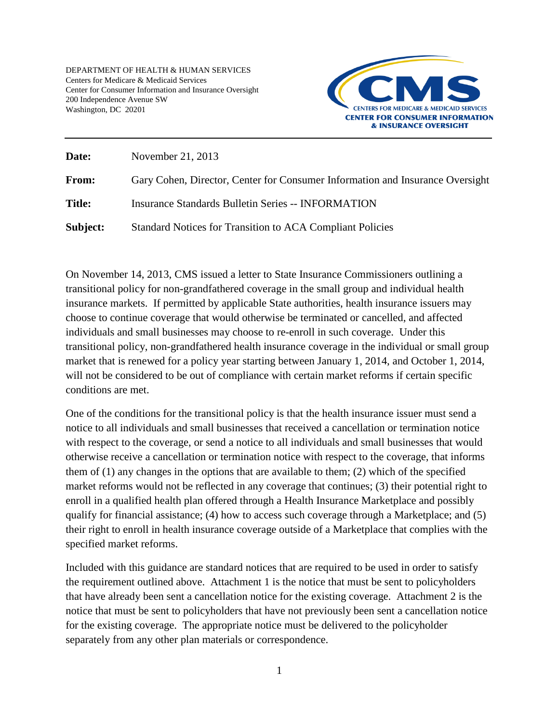DEPARTMENT OF HEALTH & HUMAN SERVICES Centers for Medicare & Medicaid Services Center for Consumer Information and Insurance Oversight 200 Independence Avenue SW Washington, DC 20201



| Date:         | November 21, 2013                                                             |
|---------------|-------------------------------------------------------------------------------|
| From:         | Gary Cohen, Director, Center for Consumer Information and Insurance Oversight |
| <b>Title:</b> | <b>Insurance Standards Bulletin Series -- INFORMATION</b>                     |
| Subject:      | Standard Notices for Transition to ACA Compliant Policies                     |

On November 14, 2013, CMS issued a letter to State Insurance Commissioners outlining a transitional policy for non-grandfathered coverage in the small group and individual health insurance markets. If permitted by applicable State authorities, health insurance issuers may choose to continue coverage that would otherwise be terminated or cancelled, and affected individuals and small businesses may choose to re-enroll in such coverage. Under this transitional policy, non-grandfathered health insurance coverage in the individual or small group market that is renewed for a policy year starting between January 1, 2014, and October 1, 2014, will not be considered to be out of compliance with certain market reforms if certain specific conditions are met.

One of the conditions for the transitional policy is that the health insurance issuer must send a notice to all individuals and small businesses that received a cancellation or termination notice with respect to the coverage, or send a notice to all individuals and small businesses that would otherwise receive a cancellation or termination notice with respect to the coverage, that informs them of (1) any changes in the options that are available to them; (2) which of the specified market reforms would not be reflected in any coverage that continues; (3) their potential right to enroll in a qualified health plan offered through a Health Insurance Marketplace and possibly qualify for financial assistance; (4) how to access such coverage through a Marketplace; and (5) their right to enroll in health insurance coverage outside of a Marketplace that complies with the specified market reforms.

Included with this guidance are standard notices that are required to be used in order to satisfy the requirement outlined above. Attachment 1 is the notice that must be sent to policyholders that have already been sent a cancellation notice for the existing coverage. Attachment 2 is the notice that must be sent to policyholders that have not previously been sent a cancellation notice for the existing coverage. The appropriate notice must be delivered to the policyholder separately from any other plan materials or correspondence.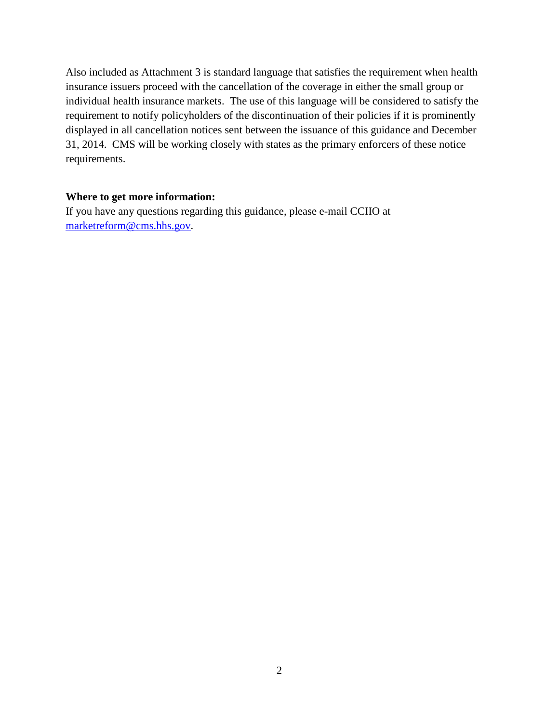Also included as Attachment 3 is standard language that satisfies the requirement when health insurance issuers proceed with the cancellation of the coverage in either the small group or individual health insurance markets. The use of this language will be considered to satisfy the requirement to notify policyholders of the discontinuation of their policies if it is prominently displayed in all cancellation notices sent between the issuance of this guidance and December 31, 2014. CMS will be working closely with states as the primary enforcers of these notice requirements.

#### **Where to get more information:**

If you have any questions regarding this guidance, please e-mail CCIIO at [marketreform@cms.hhs.gov.](mailto:marketreform@cms.hhs.gov)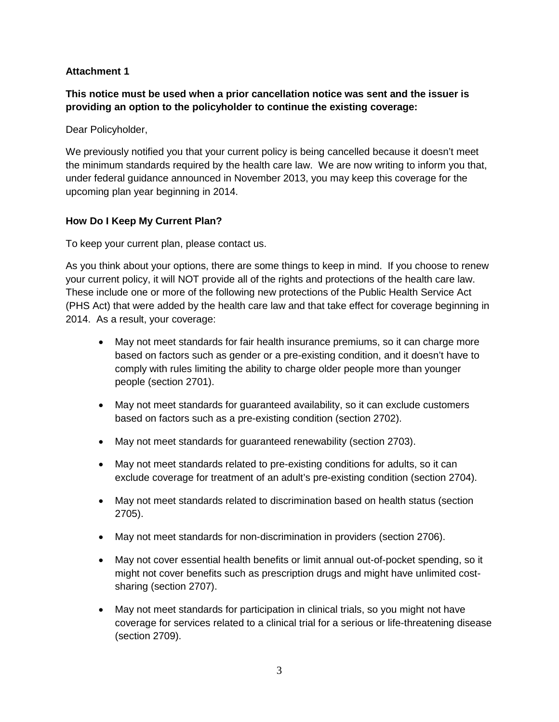## **Attachment 1**

**This notice must be used when a prior cancellation notice was sent and the issuer is providing an option to the policyholder to continue the existing coverage:**

Dear Policyholder,

We previously notified you that your current policy is being cancelled because it doesn't meet the minimum standards required by the health care law. We are now writing to inform you that, under federal guidance announced in November 2013, you may keep this coverage for the upcoming plan year beginning in 2014.

## **How Do I Keep My Current Plan?**

To keep your current plan, please contact us.

As you think about your options, there are some things to keep in mind. If you choose to renew your current policy, it will NOT provide all of the rights and protections of the health care law. These include one or more of the following new protections of the Public Health Service Act (PHS Act) that were added by the health care law and that take effect for coverage beginning in 2014. As a result, your coverage:

- May not meet standards for fair health insurance premiums, so it can charge more based on factors such as gender or a pre-existing condition, and it doesn't have to comply with rules limiting the ability to charge older people more than younger people (section 2701).
- May not meet standards for guaranteed availability, so it can exclude customers based on factors such as a pre-existing condition (section 2702).
- May not meet standards for guaranteed renewability (section 2703).
- May not meet standards related to pre-existing conditions for adults, so it can exclude coverage for treatment of an adult's pre-existing condition (section 2704).
- May not meet standards related to discrimination based on health status (section 2705).
- May not meet standards for non-discrimination in providers (section 2706).
- May not cover essential health benefits or limit annual out-of-pocket spending, so it might not cover benefits such as prescription drugs and might have unlimited costsharing (section 2707).
- May not meet standards for participation in clinical trials, so you might not have coverage for services related to a clinical trial for a serious or life-threatening disease (section 2709).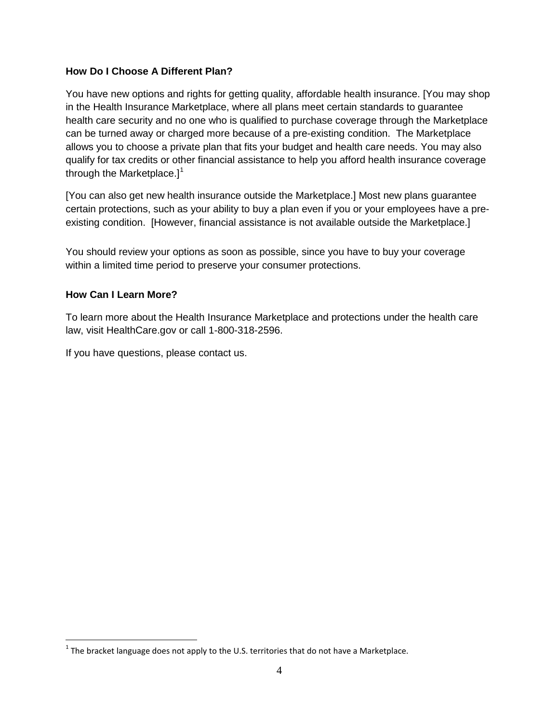## **How Do I Choose A Different Plan?**

You have new options and rights for getting quality, affordable health insurance. [You may shop in the Health Insurance Marketplace, where all plans meet certain standards to guarantee health care security and no one who is qualified to purchase coverage through the Marketplace can be turned away or charged more because of a pre-existing condition. The Marketplace allows you to choose a private plan that fits your budget and health care needs. You may also qualify for tax credits or other financial assistance to help you afford health insurance coverage through the Marketplace. $]$ <sup>[1](#page-3-0)</sup>

[You can also get new health insurance outside the Marketplace.] Most new plans guarantee certain protections, such as your ability to buy a plan even if you or your employees have a preexisting condition. [However, financial assistance is not available outside the Marketplace.]

You should review your options as soon as possible, since you have to buy your coverage within a limited time period to preserve your consumer protections.

#### **How Can I Learn More?**

To learn more about the Health Insurance Marketplace and protections under the health care law, visit HealthCare.gov or call 1-800-318-2596.

If you have questions, please contact us.

<span id="page-3-0"></span> $<sup>1</sup>$  The bracket language does not apply to the U.S. territories that do not have a Marketplace.</sup>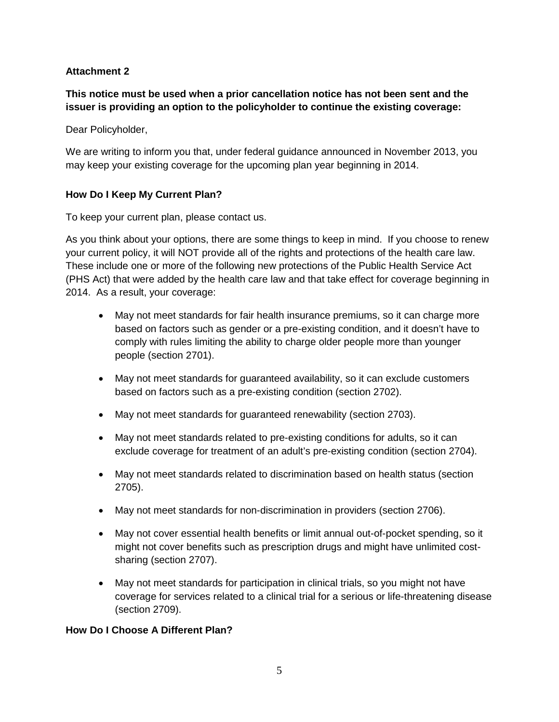## **Attachment 2**

**This notice must be used when a prior cancellation notice has not been sent and the issuer is providing an option to the policyholder to continue the existing coverage:**

Dear Policyholder,

We are writing to inform you that, under federal guidance announced in November 2013, you may keep your existing coverage for the upcoming plan year beginning in 2014.

## **How Do I Keep My Current Plan?**

To keep your current plan, please contact us.

As you think about your options, there are some things to keep in mind. If you choose to renew your current policy, it will NOT provide all of the rights and protections of the health care law. These include one or more of the following new protections of the Public Health Service Act (PHS Act) that were added by the health care law and that take effect for coverage beginning in 2014. As a result, your coverage:

- May not meet standards for fair health insurance premiums, so it can charge more based on factors such as gender or a pre-existing condition, and it doesn't have to comply with rules limiting the ability to charge older people more than younger people (section 2701).
- May not meet standards for guaranteed availability, so it can exclude customers based on factors such as a pre-existing condition (section 2702).
- May not meet standards for guaranteed renewability (section 2703).
- May not meet standards related to pre-existing conditions for adults, so it can exclude coverage for treatment of an adult's pre-existing condition (section 2704).
- May not meet standards related to discrimination based on health status (section 2705).
- May not meet standards for non-discrimination in providers (section 2706).
- May not cover essential health benefits or limit annual out-of-pocket spending, so it might not cover benefits such as prescription drugs and might have unlimited costsharing (section 2707).
- May not meet standards for participation in clinical trials, so you might not have coverage for services related to a clinical trial for a serious or life-threatening disease (section 2709).

#### **How Do I Choose A Different Plan?**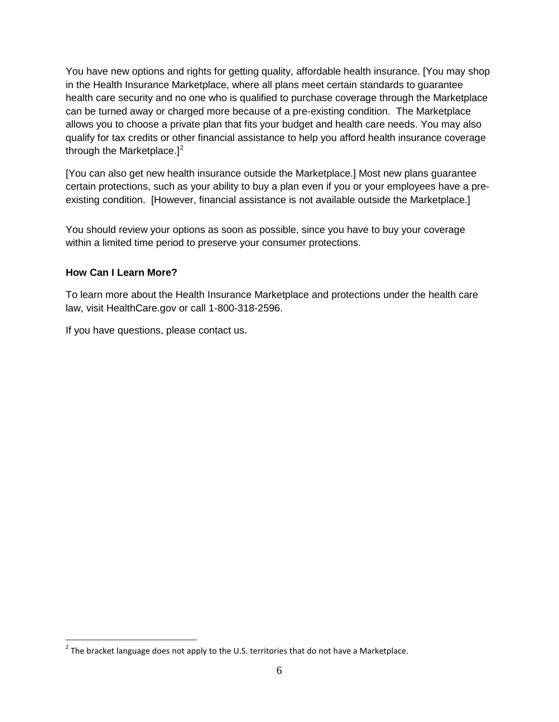You have new options and rights for getting quality, affordable health insurance. [You may shop in the Health Insurance Marketplace, where all plans meet certain standards to guarantee health care security and no one who is qualified to purchase coverage through the Marketplace can be turned away or charged more because of a pre-existing condition. The Marketplace allows you to choose a private plan that fits your budget and health care needs. You may also qualify for tax credits or other financial assistance to help you afford health insurance coverage through the Marketplace. $]^{2}$  $]^{2}$  $]^{2}$ 

[You can also get new health insurance outside the Marketplace.] Most new plans guarantee certain protections, such as your ability to buy a plan even if you or your employees have a preexisting condition. [However, financial assistance is not available outside the Marketplace.]

You should review your options as soon as possible, since you have to buy your coverage within a limited time period to preserve your consumer protections.

# **How Can I Learn More?**

To learn more about the Health Insurance Marketplace and protections under the health care law, visit HealthCare.gov or call 1-800-318-2596.

If you have questions, please contact us.

<span id="page-5-0"></span> $2$  The bracket language does not apply to the U.S. territories that do not have a Marketplace.